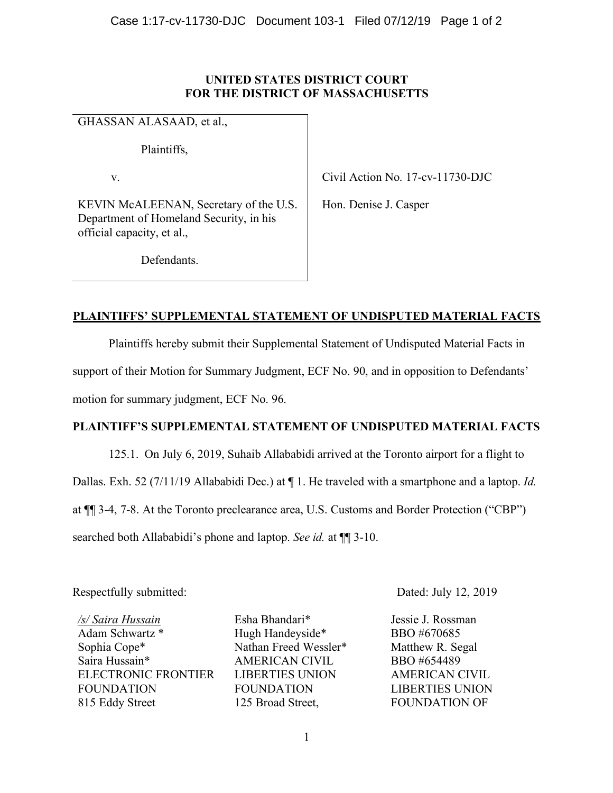## **UNITED STATES DISTRICT COURT FOR THE DISTRICT OF MASSACHUSETTS**

GHASSAN ALASAAD, et al.,

Plaintiffs,

v.

Civil Action No. 17-cv-11730-DJC

KEVIN McALEENAN, Secretary of the U.S. Department of Homeland Security, in his official capacity, et al.,

Hon. Denise J. Casper

Defendants.

## **PLAINTIFFS' SUPPLEMENTAL STATEMENT OF UNDISPUTED MATERIAL FACTS**

Plaintiffs hereby submit their Supplemental Statement of Undisputed Material Facts in support of their Motion for Summary Judgment, ECF No. 90, and in opposition to Defendants' motion for summary judgment, ECF No. 96.

## **PLAINTIFF'S SUPPLEMENTAL STATEMENT OF UNDISPUTED MATERIAL FACTS**

125.1. On July 6, 2019, Suhaib Allababidi arrived at the Toronto airport for a flight to Dallas. Exh. 52 (7/11/19 Allababidi Dec.) at ¶ 1. He traveled with a smartphone and a laptop. *Id.*  at ¶¶ 3-4, 7-8. At the Toronto preclearance area, U.S. Customs and Border Protection ("CBP") searched both Allababidi's phone and laptop. *See id.* at ¶¶ 3-10.

Respectfully submitted: Dated: July 12, 2019

*/s/ Saira Hussain* Adam Schwartz \* Sophia Cope\* Saira Hussain\* ELECTRONIC FRONTIER FOUNDATION 815 Eddy Street

Esha Bhandari\* Hugh Handeyside\* Nathan Freed Wessler\* AMERICAN CIVIL LIBERTIES UNION FOUNDATION 125 Broad Street,

Jessie J. Rossman BBO #670685 Matthew R. Segal BBO #654489 AMERICAN CIVIL LIBERTIES UNION FOUNDATION OF